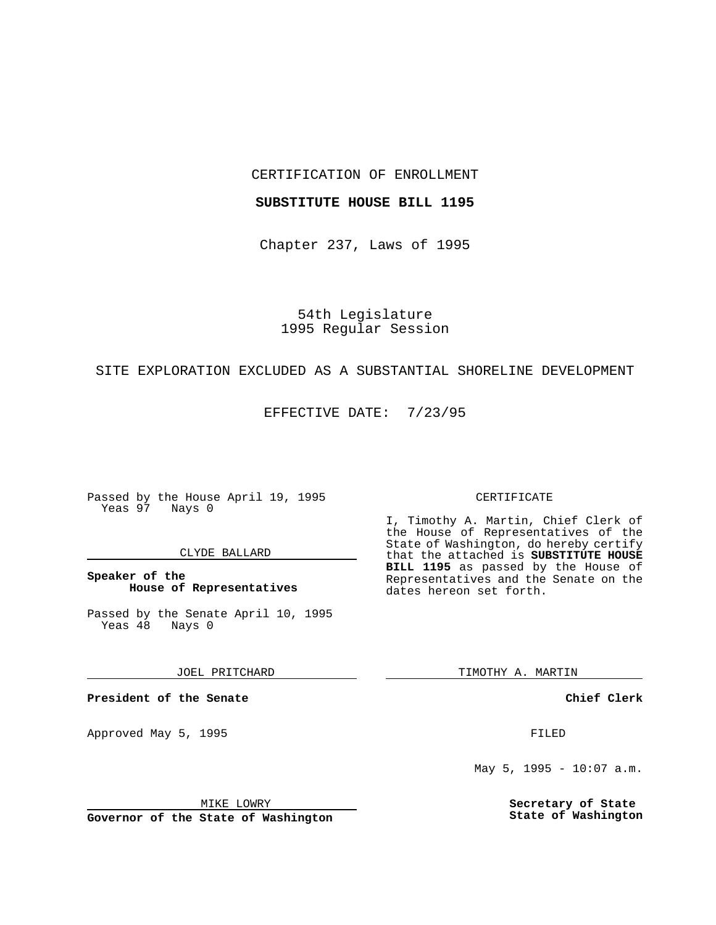CERTIFICATION OF ENROLLMENT

### **SUBSTITUTE HOUSE BILL 1195**

Chapter 237, Laws of 1995

54th Legislature 1995 Regular Session

## SITE EXPLORATION EXCLUDED AS A SUBSTANTIAL SHORELINE DEVELOPMENT

EFFECTIVE DATE: 7/23/95

Passed by the House April 19, 1995 Yeas 97 Nays 0

### CLYDE BALLARD

**Speaker of the House of Representatives**

Passed by the Senate April 10, 1995<br>Yeas 48 Nays 0 Yeas 48

JOEL PRITCHARD

**President of the Senate**

Approved May 5, 1995 **FILED** 

MIKE LOWRY

**Governor of the State of Washington**

#### CERTIFICATE

I, Timothy A. Martin, Chief Clerk of the House of Representatives of the State of Washington, do hereby certify that the attached is **SUBSTITUTE HOUSE BILL 1195** as passed by the House of Representatives and the Senate on the dates hereon set forth.

TIMOTHY A. MARTIN

**Chief Clerk**

May 5, 1995 - 10:07 a.m.

**Secretary of State State of Washington**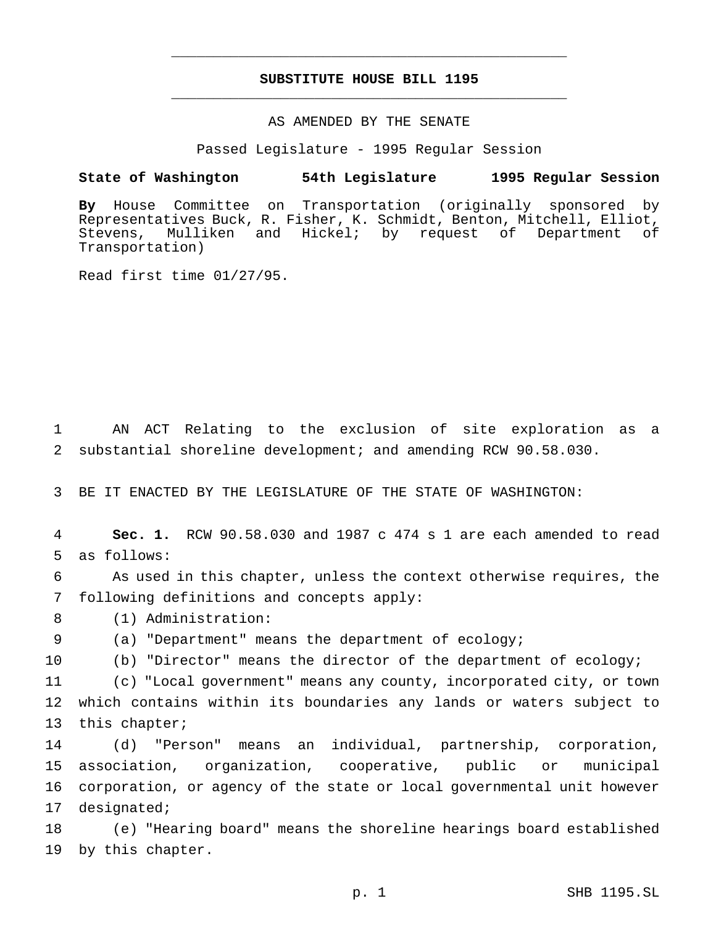# **SUBSTITUTE HOUSE BILL 1195** \_\_\_\_\_\_\_\_\_\_\_\_\_\_\_\_\_\_\_\_\_\_\_\_\_\_\_\_\_\_\_\_\_\_\_\_\_\_\_\_\_\_\_\_\_\_\_

\_\_\_\_\_\_\_\_\_\_\_\_\_\_\_\_\_\_\_\_\_\_\_\_\_\_\_\_\_\_\_\_\_\_\_\_\_\_\_\_\_\_\_\_\_\_\_

# AS AMENDED BY THE SENATE

Passed Legislature - 1995 Regular Session

#### **State of Washington 54th Legislature 1995 Regular Session**

**By** House Committee on Transportation (originally sponsored by Representatives Buck, R. Fisher, K. Schmidt, Benton, Mitchell, Elliot, Stevens, Mulliken and Hickel; by request of Department of Transportation)

Read first time 01/27/95.

 AN ACT Relating to the exclusion of site exploration as a substantial shoreline development; and amending RCW 90.58.030.

BE IT ENACTED BY THE LEGISLATURE OF THE STATE OF WASHINGTON:

 **Sec. 1.** RCW 90.58.030 and 1987 c 474 s 1 are each amended to read as follows:

 As used in this chapter, unless the context otherwise requires, the following definitions and concepts apply:

(1) Administration:

(a) "Department" means the department of ecology;

(b) "Director" means the director of the department of ecology;

 (c) "Local government" means any county, incorporated city, or town which contains within its boundaries any lands or waters subject to this chapter;

 (d) "Person" means an individual, partnership, corporation, association, organization, cooperative, public or municipal corporation, or agency of the state or local governmental unit however designated;

 (e) "Hearing board" means the shoreline hearings board established by this chapter.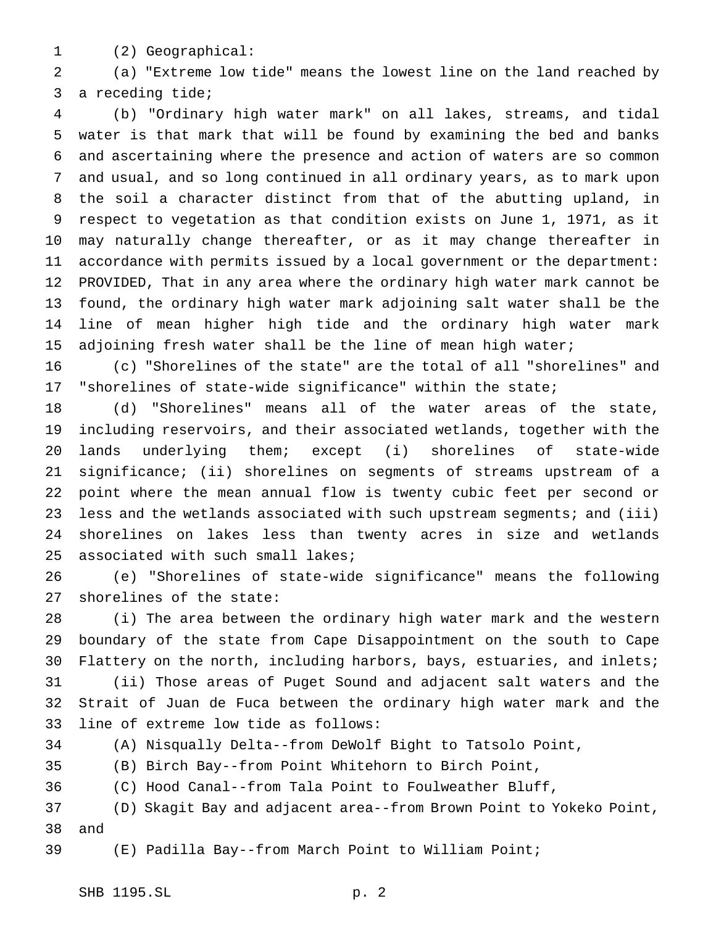(2) Geographical:

 (a) "Extreme low tide" means the lowest line on the land reached by a receding tide;

 (b) "Ordinary high water mark" on all lakes, streams, and tidal water is that mark that will be found by examining the bed and banks and ascertaining where the presence and action of waters are so common and usual, and so long continued in all ordinary years, as to mark upon the soil a character distinct from that of the abutting upland, in respect to vegetation as that condition exists on June 1, 1971, as it may naturally change thereafter, or as it may change thereafter in accordance with permits issued by a local government or the department: PROVIDED, That in any area where the ordinary high water mark cannot be found, the ordinary high water mark adjoining salt water shall be the line of mean higher high tide and the ordinary high water mark 15 adjoining fresh water shall be the line of mean high water;

 (c) "Shorelines of the state" are the total of all "shorelines" and "shorelines of state-wide significance" within the state;

 (d) "Shorelines" means all of the water areas of the state, including reservoirs, and their associated wetlands, together with the lands underlying them; except (i) shorelines of state-wide significance; (ii) shorelines on segments of streams upstream of a point where the mean annual flow is twenty cubic feet per second or less and the wetlands associated with such upstream segments; and (iii) shorelines on lakes less than twenty acres in size and wetlands associated with such small lakes;

 (e) "Shorelines of state-wide significance" means the following shorelines of the state:

 (i) The area between the ordinary high water mark and the western boundary of the state from Cape Disappointment on the south to Cape Flattery on the north, including harbors, bays, estuaries, and inlets; (ii) Those areas of Puget Sound and adjacent salt waters and the Strait of Juan de Fuca between the ordinary high water mark and the line of extreme low tide as follows:

(A) Nisqually Delta--from DeWolf Bight to Tatsolo Point,

(B) Birch Bay--from Point Whitehorn to Birch Point,

(C) Hood Canal--from Tala Point to Foulweather Bluff,

 (D) Skagit Bay and adjacent area--from Brown Point to Yokeko Point, and

(E) Padilla Bay--from March Point to William Point;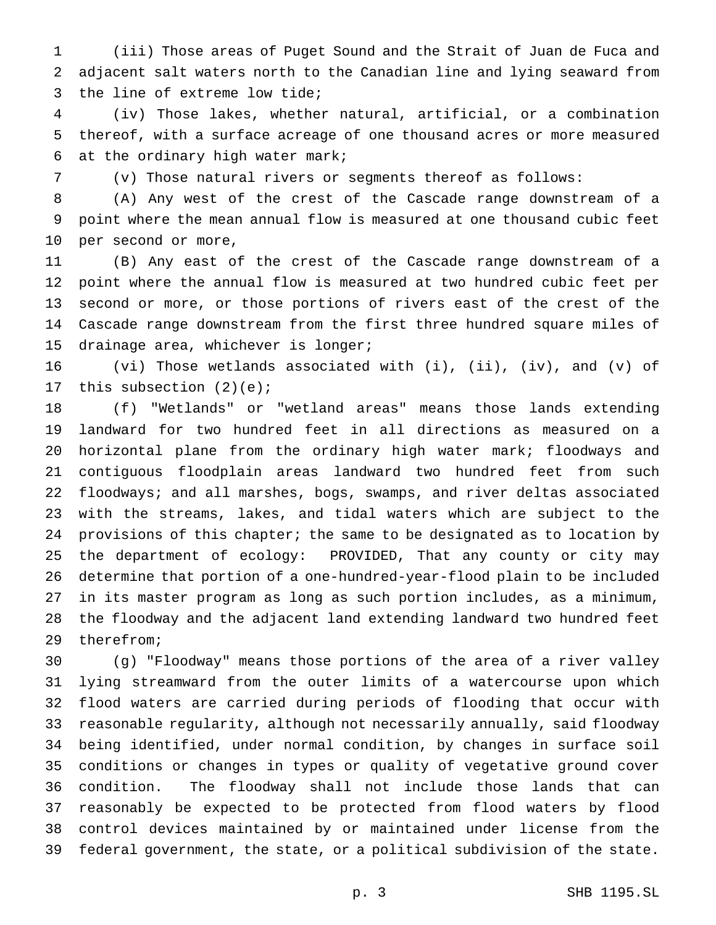(iii) Those areas of Puget Sound and the Strait of Juan de Fuca and adjacent salt waters north to the Canadian line and lying seaward from the line of extreme low tide;

 (iv) Those lakes, whether natural, artificial, or a combination thereof, with a surface acreage of one thousand acres or more measured at the ordinary high water mark;

(v) Those natural rivers or segments thereof as follows:

 (A) Any west of the crest of the Cascade range downstream of a point where the mean annual flow is measured at one thousand cubic feet per second or more,

 (B) Any east of the crest of the Cascade range downstream of a point where the annual flow is measured at two hundred cubic feet per second or more, or those portions of rivers east of the crest of the Cascade range downstream from the first three hundred square miles of drainage area, whichever is longer;

 (vi) Those wetlands associated with (i), (ii), (iv), and (v) of this subsection (2)(e);

 (f) "Wetlands" or "wetland areas" means those lands extending landward for two hundred feet in all directions as measured on a horizontal plane from the ordinary high water mark; floodways and contiguous floodplain areas landward two hundred feet from such floodways; and all marshes, bogs, swamps, and river deltas associated with the streams, lakes, and tidal waters which are subject to the provisions of this chapter; the same to be designated as to location by the department of ecology: PROVIDED, That any county or city may determine that portion of a one-hundred-year-flood plain to be included in its master program as long as such portion includes, as a minimum, the floodway and the adjacent land extending landward two hundred feet therefrom;

 (g) "Floodway" means those portions of the area of a river valley lying streamward from the outer limits of a watercourse upon which flood waters are carried during periods of flooding that occur with reasonable regularity, although not necessarily annually, said floodway being identified, under normal condition, by changes in surface soil conditions or changes in types or quality of vegetative ground cover condition. The floodway shall not include those lands that can reasonably be expected to be protected from flood waters by flood control devices maintained by or maintained under license from the federal government, the state, or a political subdivision of the state.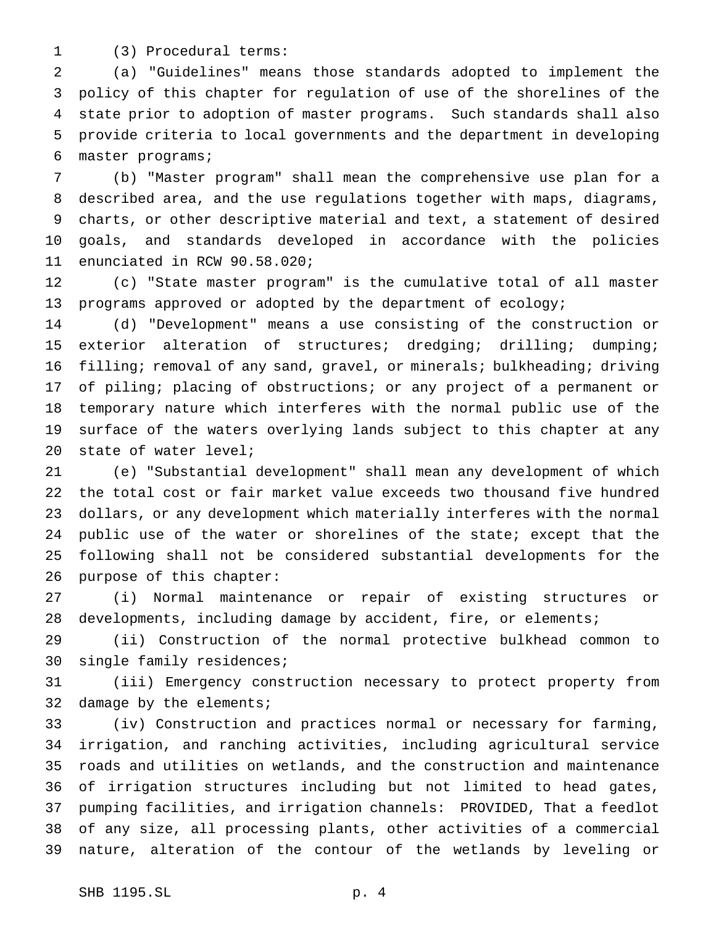(3) Procedural terms:

 (a) "Guidelines" means those standards adopted to implement the policy of this chapter for regulation of use of the shorelines of the state prior to adoption of master programs. Such standards shall also provide criteria to local governments and the department in developing master programs;

 (b) "Master program" shall mean the comprehensive use plan for a described area, and the use regulations together with maps, diagrams, charts, or other descriptive material and text, a statement of desired goals, and standards developed in accordance with the policies enunciated in RCW 90.58.020;

 (c) "State master program" is the cumulative total of all master programs approved or adopted by the department of ecology;

 (d) "Development" means a use consisting of the construction or exterior alteration of structures; dredging; drilling; dumping; filling; removal of any sand, gravel, or minerals; bulkheading; driving of piling; placing of obstructions; or any project of a permanent or temporary nature which interferes with the normal public use of the surface of the waters overlying lands subject to this chapter at any state of water level;

 (e) "Substantial development" shall mean any development of which the total cost or fair market value exceeds two thousand five hundred dollars, or any development which materially interferes with the normal public use of the water or shorelines of the state; except that the following shall not be considered substantial developments for the purpose of this chapter:

 (i) Normal maintenance or repair of existing structures or developments, including damage by accident, fire, or elements;

 (ii) Construction of the normal protective bulkhead common to single family residences;

 (iii) Emergency construction necessary to protect property from 32 damage by the elements;

 (iv) Construction and practices normal or necessary for farming, irrigation, and ranching activities, including agricultural service roads and utilities on wetlands, and the construction and maintenance of irrigation structures including but not limited to head gates, pumping facilities, and irrigation channels: PROVIDED, That a feedlot of any size, all processing plants, other activities of a commercial nature, alteration of the contour of the wetlands by leveling or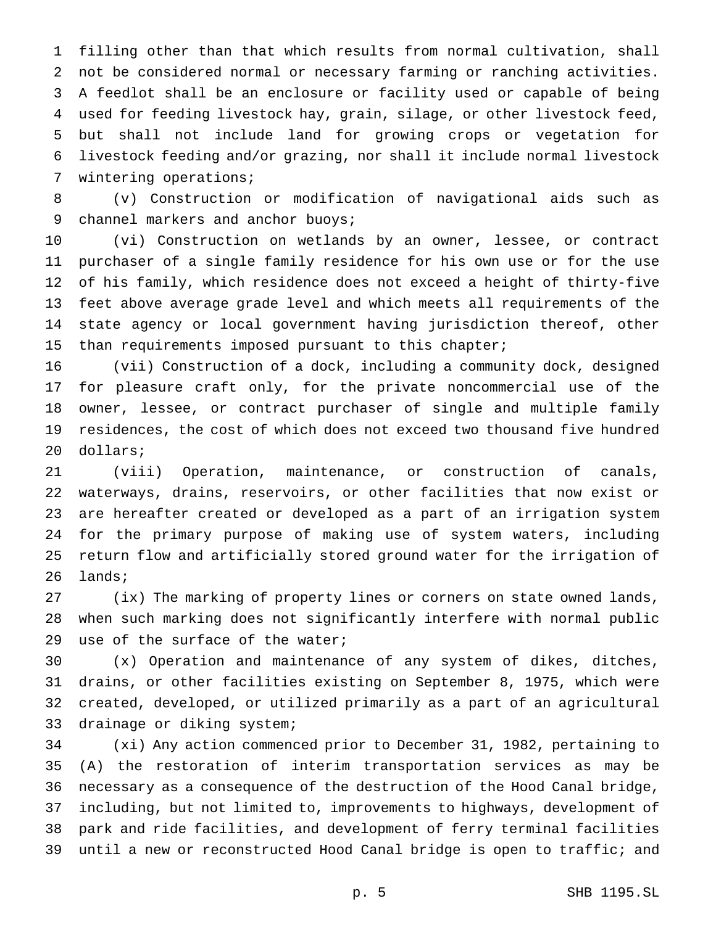filling other than that which results from normal cultivation, shall not be considered normal or necessary farming or ranching activities. A feedlot shall be an enclosure or facility used or capable of being used for feeding livestock hay, grain, silage, or other livestock feed, but shall not include land for growing crops or vegetation for livestock feeding and/or grazing, nor shall it include normal livestock wintering operations;

 (v) Construction or modification of navigational aids such as 9 channel markers and anchor buoys;

 (vi) Construction on wetlands by an owner, lessee, or contract purchaser of a single family residence for his own use or for the use of his family, which residence does not exceed a height of thirty-five feet above average grade level and which meets all requirements of the state agency or local government having jurisdiction thereof, other than requirements imposed pursuant to this chapter;

 (vii) Construction of a dock, including a community dock, designed for pleasure craft only, for the private noncommercial use of the owner, lessee, or contract purchaser of single and multiple family residences, the cost of which does not exceed two thousand five hundred dollars;

 (viii) Operation, maintenance, or construction of canals, waterways, drains, reservoirs, or other facilities that now exist or are hereafter created or developed as a part of an irrigation system for the primary purpose of making use of system waters, including return flow and artificially stored ground water for the irrigation of lands;

 (ix) The marking of property lines or corners on state owned lands, when such marking does not significantly interfere with normal public use of the surface of the water;

 (x) Operation and maintenance of any system of dikes, ditches, drains, or other facilities existing on September 8, 1975, which were created, developed, or utilized primarily as a part of an agricultural drainage or diking system;

 (xi) Any action commenced prior to December 31, 1982, pertaining to (A) the restoration of interim transportation services as may be necessary as a consequence of the destruction of the Hood Canal bridge, including, but not limited to, improvements to highways, development of park and ride facilities, and development of ferry terminal facilities until a new or reconstructed Hood Canal bridge is open to traffic; and